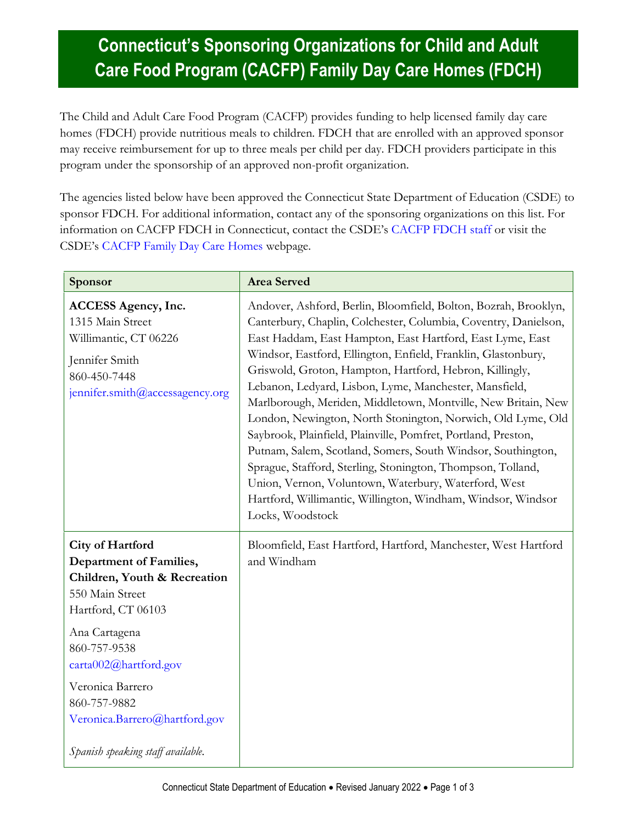## **Connecticut's Sponsoring Organizations for Child and Adult Care Food Program (CACFP) Family Day Care Homes (FDCH)**

The Child and Adult Care Food Program (CACFP) provides funding to help licensed family day care homes (FDCH) provide nutritious meals to children. FDCH that are enrolled with an approved sponsor may receive reimbursement for up to three meals per child per day. FDCH providers participate in this program under the sponsorship of an approved non-profit organization.

The agencies listed below have been approved the Connecticut State Department of Education (CSDE) to sponsor FDCH. For additional information, contact any of the sponsoring organizations on this list. For information on CACFP FDCH in Connecticut, contact the CSDE's [CACFP FDCH staff](https://portal.ct.gov/SDE/Nutrition/CACFP-Contact) or visit the CSDE's [CACFP Family Day Care Homes](https://portal.ct.gov/SDE/Nutrition/CACFP-Family-Day-Care-Homes) webpage.

| Sponsor                                                                                                                                                                                                                                                                                         | <b>Area Served</b>                                                                                                                                                                                                                                                                                                                                                                                                                                                                                                                                                                                                                                                                                                                                                                                                                                                |
|-------------------------------------------------------------------------------------------------------------------------------------------------------------------------------------------------------------------------------------------------------------------------------------------------|-------------------------------------------------------------------------------------------------------------------------------------------------------------------------------------------------------------------------------------------------------------------------------------------------------------------------------------------------------------------------------------------------------------------------------------------------------------------------------------------------------------------------------------------------------------------------------------------------------------------------------------------------------------------------------------------------------------------------------------------------------------------------------------------------------------------------------------------------------------------|
| <b>ACCESS Agency, Inc.</b><br>1315 Main Street<br>Willimantic, CT 06226<br>Jennifer Smith<br>860-450-7448<br>jennifer.smith@accessagency.org                                                                                                                                                    | Andover, Ashford, Berlin, Bloomfield, Bolton, Bozrah, Brooklyn,<br>Canterbury, Chaplin, Colchester, Columbia, Coventry, Danielson,<br>East Haddam, East Hampton, East Hartford, East Lyme, East<br>Windsor, Eastford, Ellington, Enfield, Franklin, Glastonbury,<br>Griswold, Groton, Hampton, Hartford, Hebron, Killingly,<br>Lebanon, Ledyard, Lisbon, Lyme, Manchester, Mansfield,<br>Marlborough, Meriden, Middletown, Montville, New Britain, New<br>London, Newington, North Stonington, Norwich, Old Lyme, Old<br>Saybrook, Plainfield, Plainville, Pomfret, Portland, Preston,<br>Putnam, Salem, Scotland, Somers, South Windsor, Southington,<br>Sprague, Stafford, Sterling, Stonington, Thompson, Tolland,<br>Union, Vernon, Voluntown, Waterbury, Waterford, West<br>Hartford, Willimantic, Willington, Windham, Windsor, Windsor<br>Locks, Woodstock |
| <b>City of Hartford</b><br>Department of Families,<br>Children, Youth & Recreation<br>550 Main Street<br>Hartford, CT 06103<br>Ana Cartagena<br>860-757-9538<br>carta002@hartford.gov<br>Veronica Barrero<br>860-757-9882<br>Veronica.Barrero@hartford.gov<br>Spanish speaking staff available. | Bloomfield, East Hartford, Hartford, Manchester, West Hartford<br>and Windham                                                                                                                                                                                                                                                                                                                                                                                                                                                                                                                                                                                                                                                                                                                                                                                     |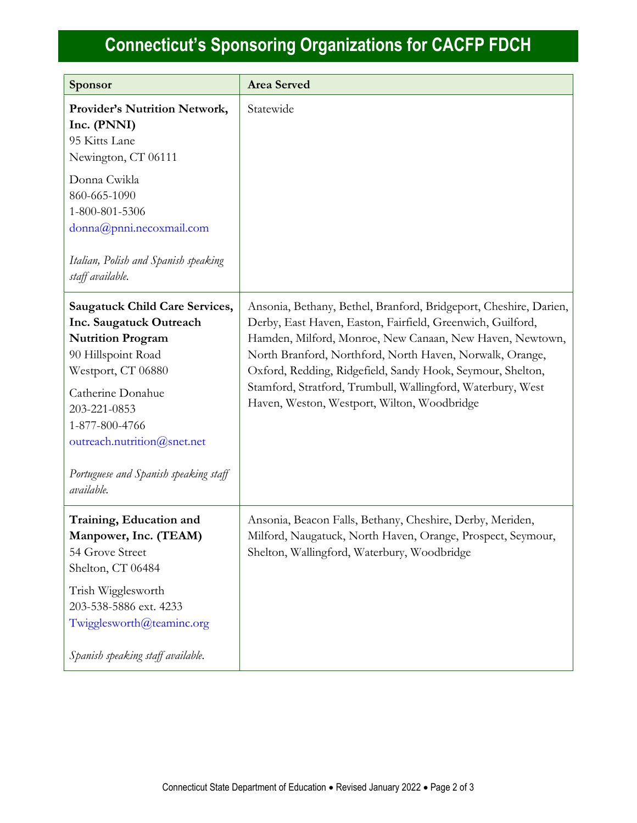## **Connecticut's Sponsoring Organizations for CACFP FDCH**

| Sponsor                                                                                                                                                                                                                                                                               | <b>Area Served</b>                                                                                                                                                                                                                                                                                                                                                                                                                  |
|---------------------------------------------------------------------------------------------------------------------------------------------------------------------------------------------------------------------------------------------------------------------------------------|-------------------------------------------------------------------------------------------------------------------------------------------------------------------------------------------------------------------------------------------------------------------------------------------------------------------------------------------------------------------------------------------------------------------------------------|
| Provider's Nutrition Network,<br>Inc. (PNNI)<br>95 Kitts Lane<br>Newington, CT 06111<br>Donna Cwikla<br>860-665-1090<br>1-800-801-5306<br>donna@pnni.necoxmail.com<br>Italian, Polish and Spanish speaking<br>staff available.                                                        | Statewide                                                                                                                                                                                                                                                                                                                                                                                                                           |
| <b>Saugatuck Child Care Services,</b><br>Inc. Saugatuck Outreach<br><b>Nutrition Program</b><br>90 Hillspoint Road<br>Westport, CT 06880<br>Catherine Donahue<br>203-221-0853<br>1-877-800-4766<br>outreach.nutrition@snet.net<br>Portuguese and Spanish speaking staff<br>available. | Ansonia, Bethany, Bethel, Branford, Bridgeport, Cheshire, Darien,<br>Derby, East Haven, Easton, Fairfield, Greenwich, Guilford,<br>Hamden, Milford, Monroe, New Canaan, New Haven, Newtown,<br>North Branford, Northford, North Haven, Norwalk, Orange,<br>Oxford, Redding, Ridgefield, Sandy Hook, Seymour, Shelton,<br>Stamford, Stratford, Trumbull, Wallingford, Waterbury, West<br>Haven, Weston, Westport, Wilton, Woodbridge |
| Training, Education and<br>Manpower, Inc. (TEAM)<br>54 Grove Street<br>Shelton, CT 06484<br>Trish Wigglesworth<br>203-538-5886 ext. 4233<br>Twigglesworth@teaminc.org<br>Spanish speaking staff available.                                                                            | Ansonia, Beacon Falls, Bethany, Cheshire, Derby, Meriden,<br>Milford, Naugatuck, North Haven, Orange, Prospect, Seymour,<br>Shelton, Wallingford, Waterbury, Woodbridge                                                                                                                                                                                                                                                             |